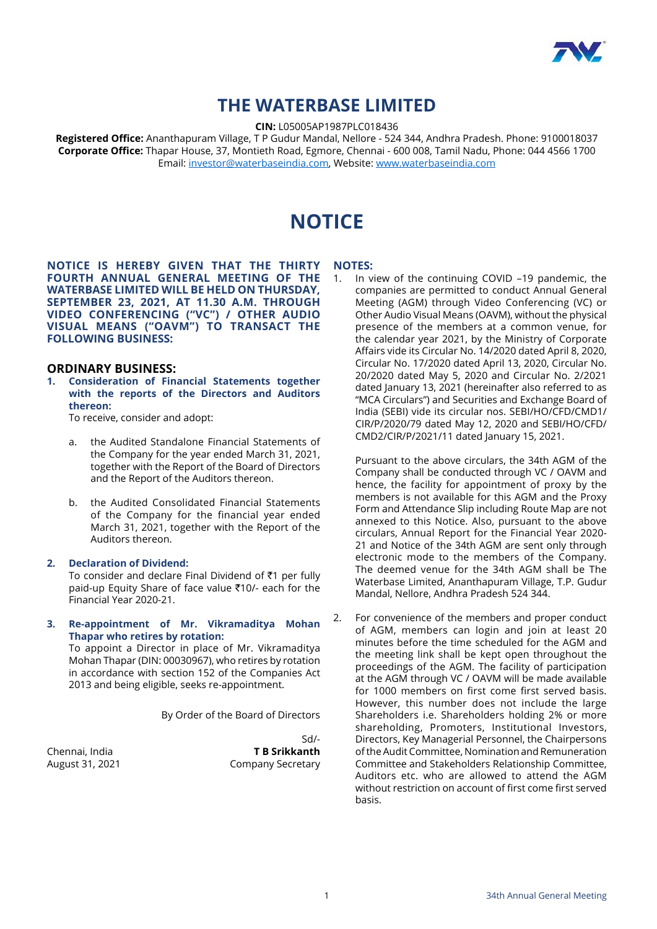

# **THE WATERBASE LIMITED**

**CIN:** L05005AP1987PLC018436

**Registered Office:** Ananthapuram Village, T P Gudur Mandal, Nellore - 524 344, Andhra Pradesh. Phone: 9100018037 **Corporate Office:** Thapar House, 37, Montieth Road, Egmore, Chennai - 600 008, Tamil Nadu, Phone: 044 4566 1700 Email: [investor@waterbaseindia.com,](mailto:investor%40waterbaseindia.com?subject=) Website: [www.waterbaseindia.com](http://www.waterbaseindia.com)

# **NOTICE**

**NOTICE IS HEREBY GIVEN THAT THE THIRTY FOURTH ANNUAL GENERAL MEETING OF THE WATERBASE LIMITED WILL BE HELD ON THURSDAY, SEPTEMBER 23, 2021, AT 11.30 A.M. THROUGH VIDEO CONFERENCING ("VC") / OTHER AUDIO VISUAL MEANS ("OAVM") TO TRANSACT THE FOLLOWING BUSINESS:**

#### **ORDINARY BUSINESS:**

**1. Consideration of Financial Statements together with the reports of the Directors and Auditors thereon:**

To receive, consider and adopt:

- a. the Audited Standalone Financial Statements of the Company for the year ended March 31, 2021, together with the Report of the Board of Directors and the Report of the Auditors thereon.
- b. the Audited Consolidated Financial Statements of the Company for the financial year ended March 31, 2021, together with the Report of the Auditors thereon.

#### **2. Declaration of Dividend:**

To consider and declare Final Dividend of  $\bar{z}$ 1 per fully paid-up Equity Share of face value  $\overline{5}10$ /- each for the Financial Year 2020-21.

#### **3. Re-appointment of Mr. Vikramaditya Mohan Thapar who retires by rotation:**

 To appoint a Director in place of Mr. Vikramaditya Mohan Thapar (DIN: 00030967), who retires by rotation in accordance with section 152 of the Companies Act 2013 and being eligible, seeks re-appointment.

By Order of the Board of Directors

Sd/- Chennai, India **T B Srikkanth** August 31, 2021 Company Secretary

**NOTES:**

1. In view of the continuing COVID –19 pandemic, the companies are permitted to conduct Annual General Meeting (AGM) through Video Conferencing (VC) or Other Audio Visual Means (OAVM), without the physical presence of the members at a common venue, for the calendar year 2021, by the Ministry of Corporate Affairs vide its Circular No. 14/2020 dated April 8, 2020, Circular No. 17/2020 dated April 13, 2020, Circular No. 20/2020 dated May 5, 2020 and Circular No. 2/2021 dated January 13, 2021 (hereinafter also referred to as "MCA Circulars") and Securities and Exchange Board of India (SEBI) vide its circular nos. SEBI/HO/CFD/CMD1/ CIR/P/2020/79 dated May 12, 2020 and SEBI/HO/CFD/ CMD2/CIR/P/2021/11 dated January 15, 2021.

 Pursuant to the above circulars, the 34th AGM of the Company shall be conducted through VC / OAVM and hence, the facility for appointment of proxy by the members is not available for this AGM and the Proxy Form and Attendance Slip including Route Map are not annexed to this Notice. Also, pursuant to the above circulars, Annual Report for the Financial Year 2020- 21 and Notice of the 34th AGM are sent only through electronic mode to the members of the Company. The deemed venue for the 34th AGM shall be The Waterbase Limited, Ananthapuram Village, T.P. Gudur Mandal, Nellore, Andhra Pradesh 524 344.

2. For convenience of the members and proper conduct of AGM, members can login and join at least 20 minutes before the time scheduled for the AGM and the meeting link shall be kept open throughout the proceedings of the AGM. The facility of participation at the AGM through VC / OAVM will be made available for 1000 members on first come first served basis. However, this number does not include the large Shareholders i.e. Shareholders holding 2% or more shareholding, Promoters, Institutional Investors, Directors, Key Managerial Personnel, the Chairpersons of the Audit Committee, Nomination and Remuneration Committee and Stakeholders Relationship Committee, Auditors etc. who are allowed to attend the AGM without restriction on account of first come first served basis.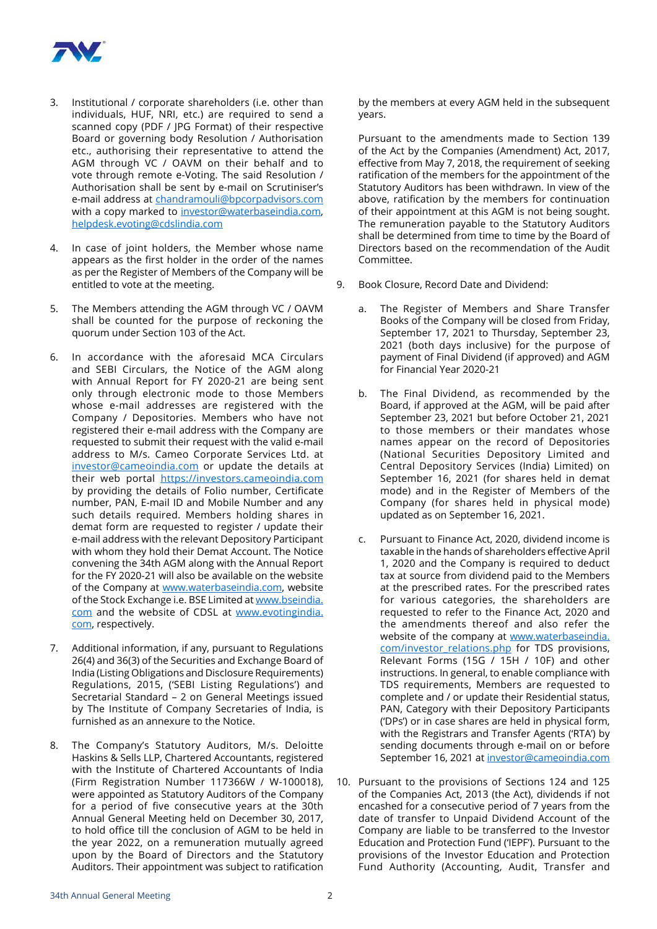

- 3. Institutional / corporate shareholders (i.e. other than individuals, HUF, NRI, etc.) are required to send a scanned copy (PDF / JPG Format) of their respective Board or governing body Resolution / Authorisation etc., authorising their representative to attend the AGM through VC / OAVM on their behalf and to vote through remote e-Voting. The said Resolution / Authorisation shall be sent by e-mail on Scrutiniser's e-mail address at [chandramouli@bpcorpadvisors.com](mailto:chandramouli%40bpcorpadvisors.com%20?subject=) with a copy marked to [investor@waterbaseindia.com,](mailto:investor%40waterbaseindia.com?subject=) [helpdesk.evoting@cdslindia.com](mailto:helpdesk.evoting%40cdslindia.com?subject=)
- 4. In case of joint holders, the Member whose name appears as the first holder in the order of the names as per the Register of Members of the Company will be entitled to vote at the meeting.
- 5. The Members attending the AGM through VC / OAVM shall be counted for the purpose of reckoning the quorum under Section 103 of the Act.
- 6. In accordance with the aforesaid MCA Circulars and SEBI Circulars, the Notice of the AGM along with Annual Report for FY 2020-21 are being sent only through electronic mode to those Members whose e-mail addresses are registered with the Company / Depositories. Members who have not registered their e-mail address with the Company are requested to submit their request with the valid e-mail address to M/s. Cameo Corporate Services Ltd. at [investor@cameoindia.com](mailto:investor%40cameoindia.com?subject=) or update the details at their web portal https://investors.cameoindia.com by providing the details of Folio number, Certificate number, PAN, E-mail ID and Mobile Number and any such details required. Members holding shares in demat form are requested to register / update their e-mail address with the relevant Depository Participant with whom they hold their Demat Account. The Notice convening the 34th AGM along with the Annual Report for the FY 2020-21 will also be available on the website of the Company at [www.waterbaseindia.com,](http://www.waterbaseindia.com) website of the Stock Exchange i.e. BSE Limited at [www.bseindia.](http://www.bseindia.com) [com](http://www.bseindia.com) and the website of CDSL at [www.evotingindia.](http://www.evotingindia.com) [com](http://www.evotingindia.com), respectively.
- 7. Additional information, if any, pursuant to Regulations 26(4) and 36(3) of the Securities and Exchange Board of India (Listing Obligations and Disclosure Requirements) Regulations, 2015, ('SEBI Listing Regulations') and Secretarial Standard – 2 on General Meetings issued by The Institute of Company Secretaries of India, is furnished as an annexure to the Notice.
- 8. The Company's Statutory Auditors, M/s. Deloitte Haskins & Sells LLP, Chartered Accountants, registered with the Institute of Chartered Accountants of India (Firm Registration Number 117366W / W-100018), were appointed as Statutory Auditors of the Company for a period of five consecutive years at the 30th Annual General Meeting held on December 30, 2017, to hold office till the conclusion of AGM to be held in the year 2022, on a remuneration mutually agreed upon by the Board of Directors and the Statutory Auditors. Their appointment was subject to ratification

by the members at every AGM held in the subsequent years.

 Pursuant to the amendments made to Section 139 of the Act by the Companies (Amendment) Act, 2017, effective from May 7, 2018, the requirement of seeking ratification of the members for the appointment of the Statutory Auditors has been withdrawn. In view of the above, ratification by the members for continuation of their appointment at this AGM is not being sought. The remuneration payable to the Statutory Auditors shall be determined from time to time by the Board of Directors based on the recommendation of the Audit Committee.

- 9. Book Closure, Record Date and Dividend:
	- a. The Register of Members and Share Transfer Books of the Company will be closed from Friday, September 17, 2021 to Thursday, September 23, 2021 (both days inclusive) for the purpose of payment of Final Dividend (if approved) and AGM for Financial Year 2020-21
	- b. The Final Dividend, as recommended by the Board, if approved at the AGM, will be paid after September 23, 2021 but before October 21, 2021 to those members or their mandates whose names appear on the record of Depositories (National Securities Depository Limited and Central Depository Services (India) Limited) on September 16, 2021 (for shares held in demat mode) and in the Register of Members of the Company (for shares held in physical mode) updated as on September 16, 2021.
	- c. Pursuant to Finance Act, 2020, dividend income is taxable in the hands of shareholders effective April 1, 2020 and the Company is required to deduct tax at source from dividend paid to the Members at the prescribed rates. For the prescribed rates for various categories, the shareholders are requested to refer to the Finance Act, 2020 and the amendments thereof and also refer the website of the company at www.waterbaseindia. com/investor\_relations.php for TDS provisions, Relevant Forms (15G / 15H / 10F) and other instructions. In general, to enable compliance with TDS requirements, Members are requested to complete and / or update their Residential status, PAN, Category with their Depository Participants ('DPs') or in case shares are held in physical form, with the Registrars and Transfer Agents ('RTA') by sending documents through e-mail on or before September 16, 2021 at [investor@cameoindia.com](mailto:investor%40cameoindia.com?subject=)
- 10. Pursuant to the provisions of Sections 124 and 125 of the Companies Act, 2013 (the Act), dividends if not encashed for a consecutive period of 7 years from the date of transfer to Unpaid Dividend Account of the Company are liable to be transferred to the Investor Education and Protection Fund ('IEPF'). Pursuant to the provisions of the Investor Education and Protection Fund Authority (Accounting, Audit, Transfer and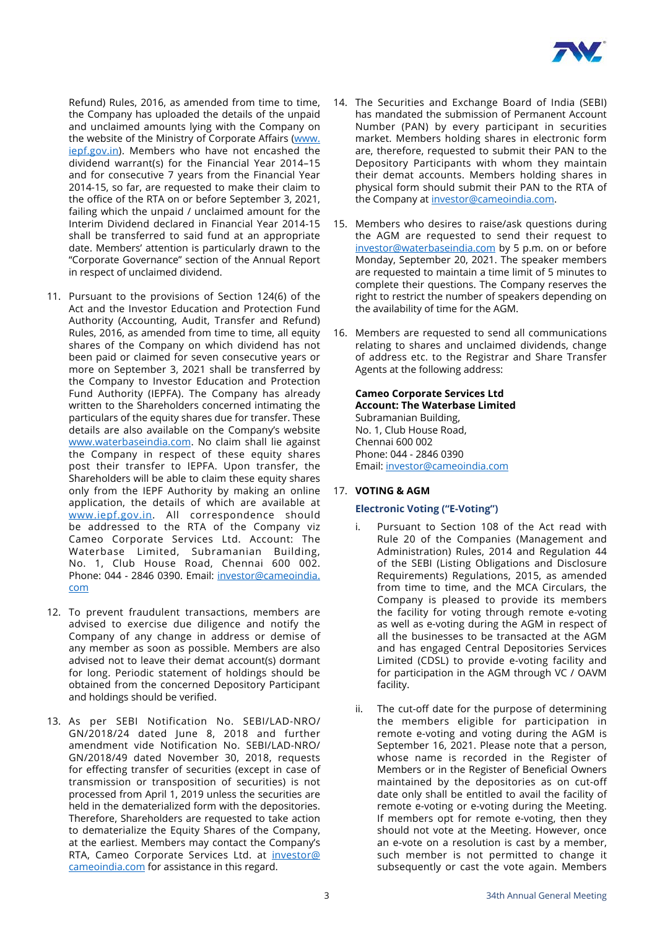

Refund) Rules, 2016, as amended from time to time, the Company has uploaded the details of the unpaid and unclaimed amounts lying with the Company on the website of the Ministry of Corporate Affairs ([www.](http://www.iepf.gov.in) [iepf.gov.in\)](http://www.iepf.gov.in). Members who have not encashed the dividend warrant(s) for the Financial Year 2014–15 and for consecutive 7 years from the Financial Year 2014-15, so far, are requested to make their claim to the office of the RTA on or before September 3, 2021, failing which the unpaid / unclaimed amount for the Interim Dividend declared in Financial Year 2014-15 shall be transferred to said fund at an appropriate date. Members' attention is particularly drawn to the "Corporate Governance" section of the Annual Report in respect of unclaimed dividend.

- 11. Pursuant to the provisions of Section 124(6) of the Act and the Investor Education and Protection Fund Authority (Accounting, Audit, Transfer and Refund) Rules, 2016, as amended from time to time, all equity shares of the Company on which dividend has not been paid or claimed for seven consecutive years or more on September 3, 2021 shall be transferred by the Company to Investor Education and Protection Fund Authority (IEPFA). The Company has already written to the Shareholders concerned intimating the particulars of the equity shares due for transfer. These details are also available on the Company's website [www.waterbaseindia.com](http://www.waterbaseindia.com). No claim shall lie against the Company in respect of these equity shares post their transfer to IEPFA. Upon transfer, the Shareholders will be able to claim these equity shares only from the IEPF Authority by making an online application, the details of which are available at [www.iepf.gov.in](http://www.iepf.gov.in). All correspondence should be addressed to the RTA of the Company viz Cameo Corporate Services Ltd. Account: The Waterbase Limited, Subramanian Building, No. 1, Club House Road, Chennai 600 002. Phone: 044 - 2846 0390. Email: [investor@cameoindia.](mailto:investor%40cameoindia.com?subject=) [com](mailto:investor%40cameoindia.com?subject=)
- 12. To prevent fraudulent transactions, members are advised to exercise due diligence and notify the Company of any change in address or demise of any member as soon as possible. Members are also advised not to leave their demat account(s) dormant for long. Periodic statement of holdings should be obtained from the concerned Depository Participant and holdings should be verified.
- 13. As per SEBI Notification No. SEBI/LAD-NRO/ GN/2018/24 dated June 8, 2018 and further amendment vide Notification No. SEBI/LAD-NRO/ GN/2018/49 dated November 30, 2018, requests for effecting transfer of securities (except in case of transmission or transposition of securities) is not processed from April 1, 2019 unless the securities are held in the dematerialized form with the depositories. Therefore, Shareholders are requested to take action to dematerialize the Equity Shares of the Company, at the earliest. Members may contact the Company's RTA, Cameo Corporate Services Ltd. at [investor@](mailto:investor%40cameoindia.com?subject=) [cameoindia.com](mailto:investor%40cameoindia.com?subject=) for assistance in this regard.
- 14. The Securities and Exchange Board of India (SEBI) has mandated the submission of Permanent Account Number (PAN) by every participant in securities market. Members holding shares in electronic form are, therefore, requested to submit their PAN to the Depository Participants with whom they maintain their demat accounts. Members holding shares in physical form should submit their PAN to the RTA of the Company at investor@cameoindia.com.
- 15. Members who desires to raise/ask questions during the AGM are requested to send their request to [investor@waterbaseindia.com](mailto:investor%40waterbaseindia.com?subject=) by 5 p.m. on or before Monday, September 20, 2021. The speaker members are requested to maintain a time limit of 5 minutes to complete their questions. The Company reserves the right to restrict the number of speakers depending on the availability of time for the AGM.
- 16. Members are requested to send all communications relating to shares and unclaimed dividends, change of address etc. to the Registrar and Share Transfer Agents at the following address:

**Cameo Corporate Services Ltd Account: The Waterbase Limited** Subramanian Building, No. 1, Club House Road, Chennai 600 002 Phone: 044 - 2846 0390 Email: [investor@cameoindia.com](mailto:investor%40cameoindia.com?subject=)

# 17. **VOTING & AGM**

#### **Electronic Voting ("E-Voting")**

- i. Pursuant to Section 108 of the Act read with Rule 20 of the Companies (Management and Administration) Rules, 2014 and Regulation 44 of the SEBI (Listing Obligations and Disclosure Requirements) Regulations, 2015, as amended from time to time, and the MCA Circulars, the Company is pleased to provide its members the facility for voting through remote e-voting as well as e-voting during the AGM in respect of all the businesses to be transacted at the AGM and has engaged Central Depositories Services Limited (CDSL) to provide e-voting facility and for participation in the AGM through VC / OAVM facility.
- ii. The cut-off date for the purpose of determining the members eligible for participation in remote e-voting and voting during the AGM is September 16, 2021. Please note that a person, whose name is recorded in the Register of Members or in the Register of Beneficial Owners maintained by the depositories as on cut-off date only shall be entitled to avail the facility of remote e-voting or e-voting during the Meeting. If members opt for remote e-voting, then they should not vote at the Meeting. However, once an e-vote on a resolution is cast by a member, such member is not permitted to change it subsequently or cast the vote again. Members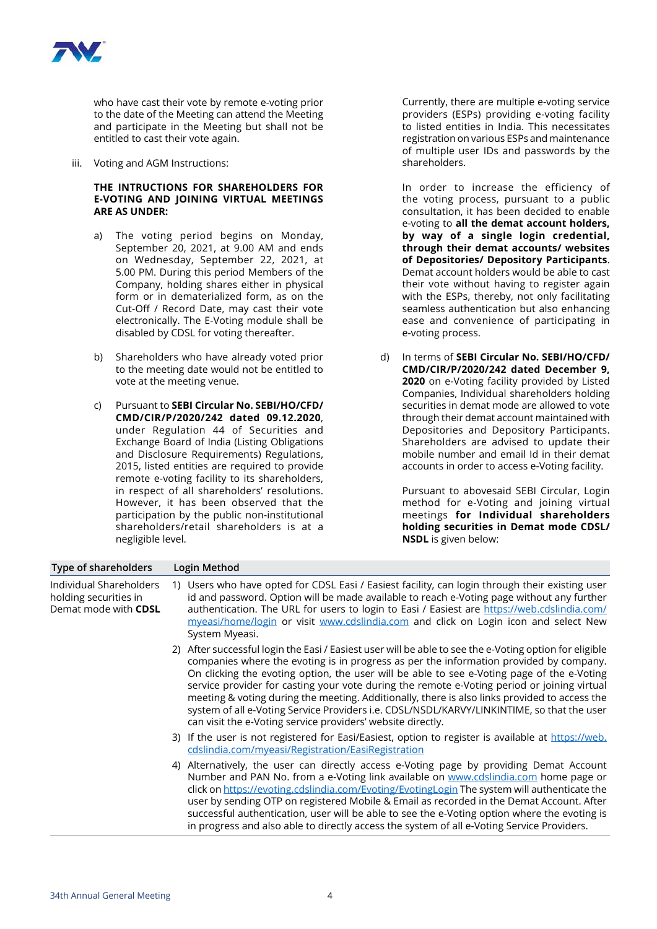

who have cast their vote by remote e-voting prior to the date of the Meeting can attend the Meeting and participate in the Meeting but shall not be entitled to cast their vote again.

iii. Voting and AGM Instructions:

#### **THE INTRUCTIONS FOR SHAREHOLDERS FOR E-VOTING AND JOINING VIRTUAL MEETINGS ARE AS UNDER:**

- a) The voting period begins on Monday, September 20, 2021, at 9.00 AM and ends on Wednesday, September 22, 2021, at 5.00 PM. During this period Members of the Company, holding shares either in physical form or in dematerialized form, as on the Cut-Off / Record Date, may cast their vote electronically. The E-Voting module shall be disabled by CDSL for voting thereafter.
- b) Shareholders who have already voted prior to the meeting date would not be entitled to vote at the meeting venue.
- c) Pursuant to **SEBI Circular No. SEBI/HO/CFD/ CMD/CIR/P/2020/242 dated 09.12.2020**, under Regulation 44 of Securities and Exchange Board of India (Listing Obligations and Disclosure Requirements) Regulations, 2015, listed entities are required to provide remote e-voting facility to its shareholders, in respect of all shareholders' resolutions. However, it has been observed that the participation by the public non-institutional shareholders/retail shareholders is at a negligible level.

 Currently, there are multiple e-voting service providers (ESPs) providing e-voting facility to listed entities in India. This necessitates registration on various ESPs and maintenance of multiple user IDs and passwords by the shareholders.

 In order to increase the efficiency of the voting process, pursuant to a public consultation, it has been decided to enable e-voting to **all the demat account holders, by way of a single login credential, through their demat accounts/ websites of Depositories/ Depository Participants**. Demat account holders would be able to cast their vote without having to register again with the ESPs, thereby, not only facilitating seamless authentication but also enhancing ease and convenience of participating in e-voting process.

 d) In terms of **SEBI Circular No. SEBI/HO/CFD/ CMD/CIR/P/2020/242 dated December 9, 2020** on e-Voting facility provided by Listed Companies, Individual shareholders holding securities in demat mode are allowed to vote through their demat account maintained with Depositories and Depository Participants. Shareholders are advised to update their mobile number and email Id in their demat accounts in order to access e-Voting facility.

 Pursuant to abovesaid SEBI Circular, Login method for e-Voting and joining virtual meetings **for Individual shareholders holding securities in Demat mode CDSL/ NSDL** is given below:

| Type of shareholders                                                     | Login Method                                                                                                                                                                                                                                                                                                                                                                                                                                                                                                                                                                                                                                                |  |  |
|--------------------------------------------------------------------------|-------------------------------------------------------------------------------------------------------------------------------------------------------------------------------------------------------------------------------------------------------------------------------------------------------------------------------------------------------------------------------------------------------------------------------------------------------------------------------------------------------------------------------------------------------------------------------------------------------------------------------------------------------------|--|--|
| Individual Shareholders<br>holding securities in<br>Demat mode with CDSL | 1) Users who have opted for CDSL Easi / Easiest facility, can login through their existing user<br>id and password. Option will be made available to reach e-Voting page without any further<br>authentication. The URL for users to login to Easi / Easiest are https://web.cdslindia.com/<br>myeasi/home/login or visit www.cdslindia.com and click on Login icon and select New<br>System Myeasi.                                                                                                                                                                                                                                                        |  |  |
|                                                                          | 2) After successful login the Easi / Easiest user will be able to see the e-Voting option for eligible<br>companies where the evoting is in progress as per the information provided by company.<br>On clicking the evoting option, the user will be able to see e-Voting page of the e-Voting<br>service provider for casting your vote during the remote e-Voting period or joining virtual<br>meeting & voting during the meeting. Additionally, there is also links provided to access the<br>system of all e-Voting Service Providers i.e. CDSL/NSDL/KARVY/LINKINTIME, so that the user<br>can visit the e-Voting service providers' website directly. |  |  |
|                                                                          | 3) If the user is not registered for Easi/Easiest, option to register is available at https://web.<br>cdslindia.com/myeasi/Registration/EasiRegistration                                                                                                                                                                                                                                                                                                                                                                                                                                                                                                    |  |  |
|                                                                          | 4) Alternatively, the user can directly access e-Voting page by providing Demat Account<br>Number and PAN No. from a e-Voting link available on www.cdslindia.com home page or<br>click on https://evoting.cdslindia.com/Evoting/EvotingLogin The system will authenticate the<br>user by sending OTP on registered Mobile & Email as recorded in the Demat Account. After<br>successful authentication, user will be able to see the e-Voting option where the evoting is<br>in progress and also able to directly access the system of all e-Voting Service Providers.                                                                                    |  |  |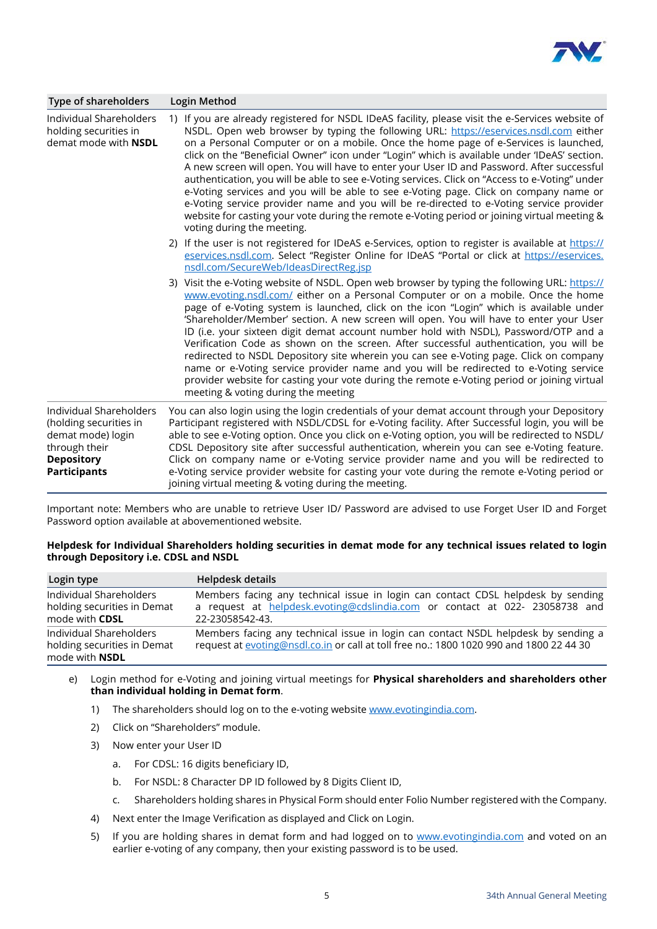

| Type of shareholders                                                                                                                | Login Method                                                                                                                                                                                                                                                                                                                                                                                                                                                                                                                                                                                                                                                                                                                                                                                                                                                                                        |
|-------------------------------------------------------------------------------------------------------------------------------------|-----------------------------------------------------------------------------------------------------------------------------------------------------------------------------------------------------------------------------------------------------------------------------------------------------------------------------------------------------------------------------------------------------------------------------------------------------------------------------------------------------------------------------------------------------------------------------------------------------------------------------------------------------------------------------------------------------------------------------------------------------------------------------------------------------------------------------------------------------------------------------------------------------|
| Individual Shareholders<br>holding securities in<br>demat mode with <b>NSDL</b>                                                     | 1) If you are already registered for NSDL IDeAS facility, please visit the e-Services website of<br>NSDL. Open web browser by typing the following URL: https://eservices.nsdl.com either<br>on a Personal Computer or on a mobile. Once the home page of e-Services is launched,<br>click on the "Beneficial Owner" icon under "Login" which is available under 'IDeAS' section.<br>A new screen will open. You will have to enter your User ID and Password. After successful<br>authentication, you will be able to see e-Voting services. Click on "Access to e-Voting" under<br>e-Voting services and you will be able to see e-Voting page. Click on company name or<br>e-Voting service provider name and you will be re-directed to e-Voting service provider<br>website for casting your vote during the remote e-Voting period or joining virtual meeting &<br>voting during the meeting. |
|                                                                                                                                     | 2) If the user is not registered for IDeAS e-Services, option to register is available at https://<br>eservices.nsdl.com. Select "Register Online for IDeAS "Portal or click at https://eservices.<br>nsdl.com/SecureWeb/IdeasDirectReg.jsp                                                                                                                                                                                                                                                                                                                                                                                                                                                                                                                                                                                                                                                         |
|                                                                                                                                     | 3) Visit the e-Voting website of NSDL. Open web browser by typing the following URL: https://<br>www.evoting.nsdl.com/ either on a Personal Computer or on a mobile. Once the home<br>page of e-Voting system is launched, click on the icon "Login" which is available under<br>'Shareholder/Member' section. A new screen will open. You will have to enter your User<br>ID (i.e. your sixteen digit demat account number hold with NSDL), Password/OTP and a<br>Verification Code as shown on the screen. After successful authentication, you will be<br>redirected to NSDL Depository site wherein you can see e-Voting page. Click on company<br>name or e-Voting service provider name and you will be redirected to e-Voting service<br>provider website for casting your vote during the remote e-Voting period or joining virtual<br>meeting & voting during the meeting                  |
| Individual Shareholders<br>(holding securities in<br>demat mode) login<br>through their<br><b>Depository</b><br><b>Participants</b> | You can also login using the login credentials of your demat account through your Depository<br>Participant registered with NSDL/CDSL for e-Voting facility. After Successful login, you will be<br>able to see e-Voting option. Once you click on e-Voting option, you will be redirected to NSDL/<br>CDSL Depository site after successful authentication, wherein you can see e-Voting feature.<br>Click on company name or e-Voting service provider name and you will be redirected to<br>e-Voting service provider website for casting your vote during the remote e-Voting period or<br>joining virtual meeting & voting during the meeting.                                                                                                                                                                                                                                                 |

Important note: Members who are unable to retrieve User ID/ Password are advised to use Forget User ID and Forget Password option available at abovementioned website.

#### **Helpdesk for Individual Shareholders holding securities in demat mode for any technical issues related to login through Depository i.e. CDSL and NSDL**

| Login type                                                                      | Helpdesk details                                                                                                                                                                   |
|---------------------------------------------------------------------------------|------------------------------------------------------------------------------------------------------------------------------------------------------------------------------------|
| Individual Shareholders<br>holding securities in Demat<br>mode with <b>CDSL</b> | Members facing any technical issue in login can contact CDSL helpdesk by sending<br>a request at helpdesk.evoting@cdslindia.com or contact at 022- 23058738 and<br>22-23058542-43. |
| Individual Shareholders<br>holding securities in Demat<br>mode with <b>NSDL</b> | Members facing any technical issue in login can contact NSDL helpdesk by sending a<br>request at evoting@nsdl.co.in or call at toll free no.: 1800 1020 990 and 1800 22 44 30      |

- e) Login method for e-Voting and joining virtual meetings for **Physical shareholders and shareholders other than individual holding in Demat form**.
	- 1) The shareholders should log on to the e-voting website [www.evotingindia.com](http://www.evotingindia.com).
	- 2) Click on "Shareholders" module.
	- 3) Now enter your User ID
		- a. For CDSL: 16 digits beneficiary ID,
		- b. For NSDL: 8 Character DP ID followed by 8 Digits Client ID,
		- c. Shareholders holding shares in Physical Form should enter Folio Number registered with the Company.
	- 4) Next enter the Image Verification as displayed and Click on Login.
	- 5) If you are holding shares in demat form and had logged on to [www.evotingindia.com](http://www.evotingindia.com) and voted on an earlier e-voting of any company, then your existing password is to be used.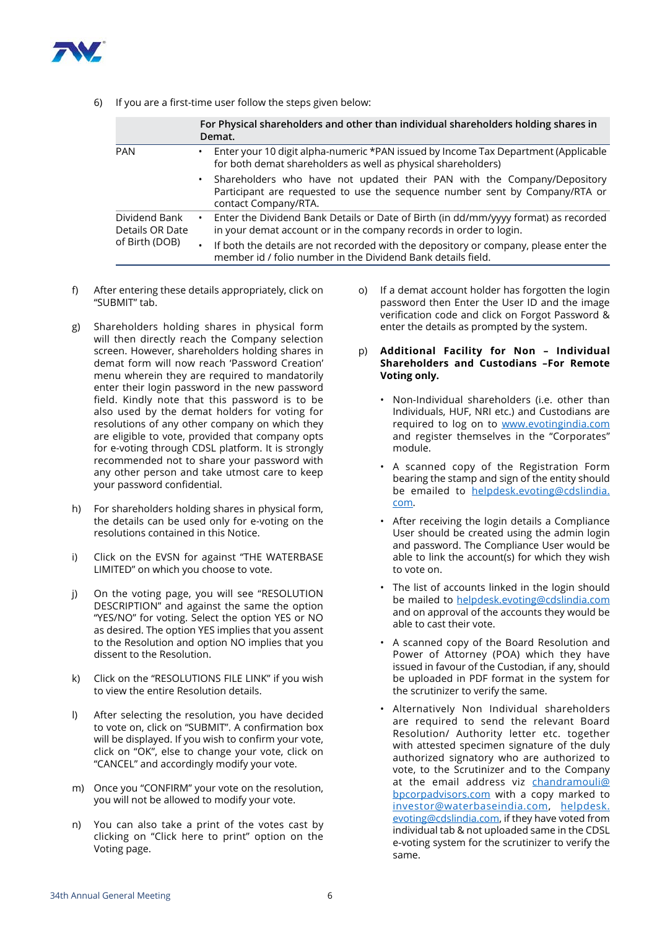

6) If you are a first-time user follow the steps given below:

|                                                    |           | For Physical shareholders and other than individual shareholders holding shares in<br>Demat.                                                                                   |  |
|----------------------------------------------------|-----------|--------------------------------------------------------------------------------------------------------------------------------------------------------------------------------|--|
| <b>PAN</b>                                         |           | Enter your 10 digit alpha-numeric *PAN issued by Income Tax Department (Applicable<br>for both demat shareholders as well as physical shareholders)                            |  |
|                                                    | $\bullet$ | Shareholders who have not updated their PAN with the Company/Depository<br>Participant are requested to use the sequence number sent by Company/RTA or<br>contact Company/RTA. |  |
| Dividend Bank<br>Details OR Date<br>of Birth (DOB) | ٠         | Enter the Dividend Bank Details or Date of Birth (in dd/mm/yyyy format) as recorded<br>in your demat account or in the company records in order to login.                      |  |
|                                                    |           | If both the details are not recorded with the depository or company, please enter the<br>member id / folio number in the Dividend Bank details field.                          |  |

- f) After entering these details appropriately, click on "SUBMIT" tab.
- g) Shareholders holding shares in physical form will then directly reach the Company selection screen. However, shareholders holding shares in demat form will now reach 'Password Creation' menu wherein they are required to mandatorily enter their login password in the new password field. Kindly note that this password is to be also used by the demat holders for voting for resolutions of any other company on which they are eligible to vote, provided that company opts for e-voting through CDSL platform. It is strongly recommended not to share your password with any other person and take utmost care to keep your password confidential.
- h) For shareholders holding shares in physical form, the details can be used only for e-voting on the resolutions contained in this Notice.
- i) Click on the EVSN for against "THE WATERBASE LIMITED" on which you choose to vote.
- j) On the voting page, you will see "RESOLUTION DESCRIPTION" and against the same the option "YES/NO" for voting. Select the option YES or NO as desired. The option YES implies that you assent to the Resolution and option NO implies that you dissent to the Resolution.
- k) Click on the "RESOLUTIONS FILE LINK" if you wish to view the entire Resolution details.
- l) After selecting the resolution, you have decided to vote on, click on "SUBMIT". A confirmation box will be displayed. If you wish to confirm your vote, click on "OK", else to change your vote, click on "CANCEL" and accordingly modify your vote.
- m) Once you "CONFIRM" your vote on the resolution, you will not be allowed to modify your vote.
- n) You can also take a print of the votes cast by clicking on "Click here to print" option on the Voting page.
- o) If a demat account holder has forgotten the login password then Enter the User ID and the image verification code and click on Forgot Password & enter the details as prompted by the system.
- p) **Additional Facility for Non Individual Shareholders and Custodians –For Remote Voting only.**
	- Non-Individual shareholders (i.e. other than Individuals, HUF, NRI etc.) and Custodians are required to log on to [www.evotingindia.com](http://www.evotingindia.com) and register themselves in the "Corporates" module.
	- A scanned copy of the Registration Form bearing the stamp and sign of the entity should be emailed to [helpdesk.evoting@cdslindia.](mailto:helpdesk.evoting%40cdslindia.com?subject=) [com](mailto:helpdesk.evoting%40cdslindia.com?subject=).
	- After receiving the login details a Compliance User should be created using the admin login and password. The Compliance User would be able to link the account(s) for which they wish to vote on.
	- The list of accounts linked in the login should be mailed to [helpdesk.evoting@cdslindia.com](mailto:helpdesk.evoting%40cdslindia.com?subject=) and on approval of the accounts they would be able to cast their vote.
	- A scanned copy of the Board Resolution and Power of Attorney (POA) which they have issued in favour of the Custodian, if any, should be uploaded in PDF format in the system for the scrutinizer to verify the same.
	- Alternatively Non Individual shareholders are required to send the relevant Board Resolution/ Authority letter etc. together with attested specimen signature of the duly authorized signatory who are authorized to vote, to the Scrutinizer and to the Company at the email address viz [chandramouli@](mailto:chandramouli%40bpcorpadvisors.com?subject=) [bpcorpadvisors.com](mailto:chandramouli%40bpcorpadvisors.com?subject=) with a copy marked to [investor@waterbaseindia.com](mailto:investor%40waterbaseindia.com?subject=), [helpdesk.](mailto:helpdesk.evoting%40cdslindia.com?subject=) [evoting@cdslindia.com,](mailto:helpdesk.evoting%40cdslindia.com?subject=) if they have voted from individual tab & not uploaded same in the CDSL e-voting system for the scrutinizer to verify the same.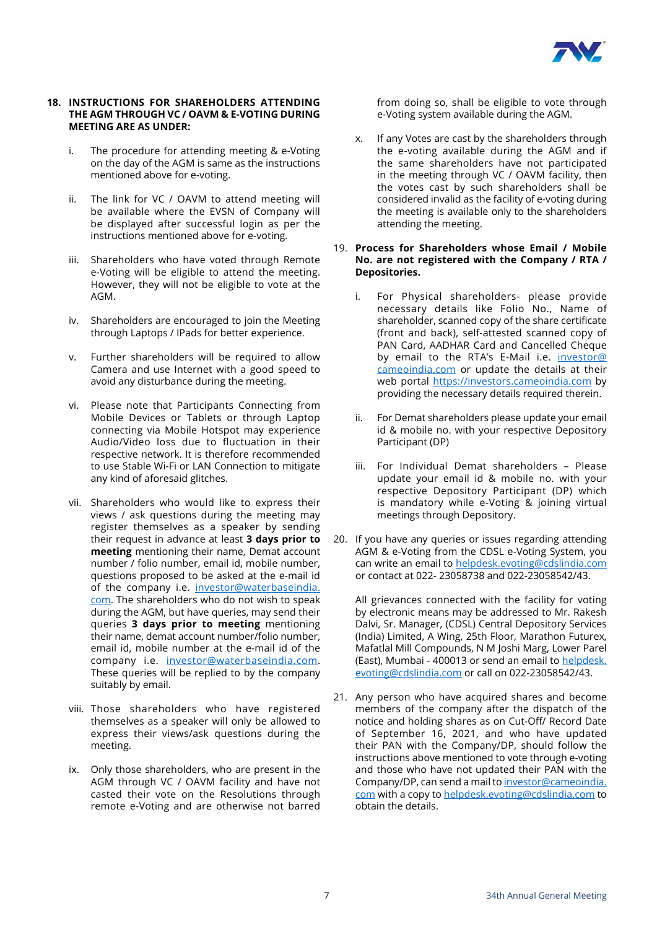

#### **18. INSTRUCTIONS FOR SHAREHOLDERS ATTENDING THE AGM THROUGH VC / OAVM & E-VOTING DURING MEETING ARE AS UNDER:**

- i. The procedure for attending meeting & e-Voting on the day of the AGM is same as the instructions mentioned above for e-voting.
- ii. The link for VC / OAVM to attend meeting will be available where the EVSN of Company will be displayed after successful login as per the instructions mentioned above for e-voting.
- iii. Shareholders who have voted through Remote e-Voting will be eligible to attend the meeting. However, they will not be eligible to vote at the AGM.
- iv. Shareholders are encouraged to join the Meeting through Laptops / IPads for better experience.
- v. Further shareholders will be required to allow Camera and use Internet with a good speed to avoid any disturbance during the meeting.
- vi. Please note that Participants Connecting from Mobile Devices or Tablets or through Laptop connecting via Mobile Hotspot may experience Audio/Video loss due to fluctuation in their respective network. It is therefore recommended to use Stable Wi-Fi or LAN Connection to mitigate any kind of aforesaid glitches.
- vii. Shareholders who would like to express their views / ask questions during the meeting may register themselves as a speaker by sending their request in advance at least **3 days prior to meeting** mentioning their name, Demat account number / folio number, email id, mobile number, questions proposed to be asked at the e-mail id of the company i.e. [investor@waterbaseindia.](mailto:investor%40waterbaseindia.com?subject=) [com](mailto:investor%40waterbaseindia.com?subject=). The shareholders who do not wish to speak during the AGM, but have queries, may send their queries **3 days prior to meeting** mentioning their name, demat account number/folio number, email id, mobile number at the e-mail id of the company i.e. [investor@waterbaseindia.com.](mailto:investor%40waterbaseindia.com?subject=) These queries will be replied to by the company suitably by email.
- viii. Those shareholders who have registered themselves as a speaker will only be allowed to express their views/ask questions during the meeting.
- ix. Only those shareholders, who are present in the AGM through VC / OAVM facility and have not casted their vote on the Resolutions through remote e-Voting and are otherwise not barred

from doing so, shall be eligible to vote through e-Voting system available during the AGM.

- x. If any Votes are cast by the shareholders through the e-voting available during the AGM and if the same shareholders have not participated in the meeting through VC / OAVM facility, then the votes cast by such shareholders shall be considered invalid as the facility of e-voting during the meeting is available only to the shareholders attending the meeting.
- 19. **Process for Shareholders whose Email / Mobile No. are not registered with the Company / RTA / Depositories.**
	- i. For Physical shareholders- please provide necessary details like Folio No., Name of shareholder, scanned copy of the share certificate (front and back), self-attested scanned copy of PAN Card, AADHAR Card and Cancelled Cheque by email to the RTA's E-Mail i.e. [investor@](mailto:investor%40cameoindia.com?subject=) [cameoindia.com](mailto:investor%40cameoindia.com?subject=) or update the details at their web portal <https://investors.cameoindia.com> by providing the necessary details required therein.
	- ii. For Demat shareholders please update your email id & mobile no. with your respective Depository Participant (DP)
	- iii. For Individual Demat shareholders Please update your email id & mobile no. with your respective Depository Participant (DP) which is mandatory while e-Voting & joining virtual meetings through Depository.
- 20. If you have any queries or issues regarding attending AGM & e-Voting from the CDSL e-Voting System, you can write an email to [helpdesk.evoting@cdslindia.com](mailto:helpdesk.evoting%40cdslindia.com?subject=) or contact at 022- 23058738 and 022-23058542/43.

 All grievances connected with the facility for voting by electronic means may be addressed to Mr. Rakesh Dalvi, Sr. Manager, (CDSL) Central Depository Services (India) Limited, A Wing, 25th Floor, Marathon Futurex, Mafatlal Mill Compounds, N M Joshi Marg, Lower Parel (East), Mumbai - 400013 or send an email to [helpdesk.](mailto:helpdesk.evoting%40cdslindia.com?subject=) [evoting@cdslindia.com](mailto:helpdesk.evoting%40cdslindia.com?subject=) or call on 022-23058542/43.

21. Any person who have acquired shares and become members of the company after the dispatch of the notice and holding shares as on Cut-Off/ Record Date of September 16, 2021, and who have updated their PAN with the Company/DP, should follow the instructions above mentioned to vote through e-voting and those who have not updated their PAN with the Company/DP, can send a mail to [investor@cameoindia.](mailto:investor%40cameoindia.com?subject=) [com](mailto:investor%40cameoindia.com?subject=) with a copy to [helpdesk.evoting@cdslindia.com](mailto:helpdesk.evoting%40cdslindia.com?subject=) to obtain the details.